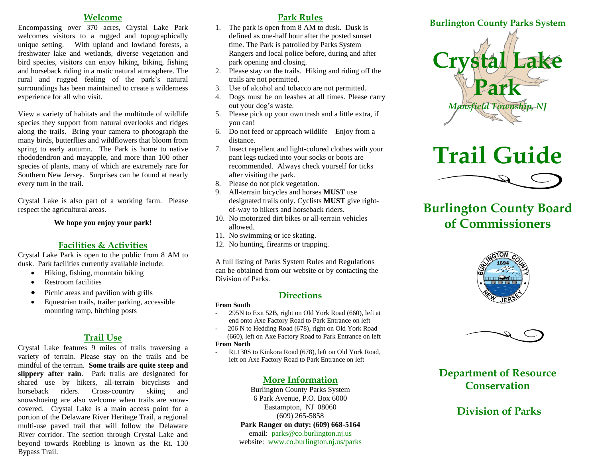#### **Welcome**

Encompassing over 370 acres, Crystal Lake Park welcomes visitors to a rugged and topographically unique setting. With upland and lowland forests, a freshwater lake and wetlands, diverse vegetation and bird species, visitors can enjoy hiking, biking, fishing and horseback riding in a rustic natural atmosphere. The rural and rugged feeling of the park's natural surroundings has been maintained to create a wilderness experience for all who visit.

View a variety of habitats and the multitude of wildlife species they support from natural overlooks and ridges along the trails. Bring your camera to photograph the many birds, butterflies and wildflowers that bloom from spring to early autumn. The Park is home to native rhododendron and mayapple, and more than 100 other species of plants, many of which are extremely rare for Southern New Jersey. Surprises can be found at nearly every turn in the trail.

Crystal Lake is also part of a working farm. Please respect the agricultural areas.

**We hope you enjoy your park!**

#### **Facilities & Activities**

Crystal Lake Park is open to the public from 8 AM to dusk. Park facilities currently available include:

- Hiking, fishing, mountain biking
- Restroom facilities
- Picnic areas and pavilion with grills
- Equestrian trails, trailer parking, accessible mounting ramp, hitching posts

#### **Trail Use**

Crystal Lake features 9 miles of trails traversing a variety of terrain. Please stay on the trails and be mindful of the terrain. **Some trails are quite steep and slippery after rain**. Park trails are designated for shared use by hikers, all-terrain bicyclists and horseback riders. Cross-country skiing and snowshoeing are also welcome when trails are snowcovered. Crystal Lake is a main access point for a portion of the Delaware River Heritage Trail, a regional multi-use paved trail that will follow the Delaware River corridor. The section through Crystal Lake and beyond towards Roebling is known as the Rt. 130 Bypass Trail.

#### **Park Rules**

- 1. The park is open from 8 AM to dusk. Dusk is defined as one-half hour after the posted sunset time. The Park is patrolled by Parks System Rangers and local police before, during and after park opening and closing.
- 2. Please stay on the trails. Hiking and riding off the trails are not permitted.
- 3. Use of alcohol and tobacco are not permitted.
- 4. Dogs must be on leashes at all times. Please carry out your dog's waste.
- 5. Please pick up your own trash and a little extra, if you can!
- 6. Do not feed or approach wildlife Enjoy from a distance.
- 7. Insect repellent and light-colored clothes with your pant legs tucked into your socks or boots are recommended. Always check yourself for ticks after visiting the park.
- 8. Please do not pick vegetation.
- 9. All-terrain bicycles and horses **MUST** use designated trails only. Cyclists **MUST** give rightof-way to hikers and horseback riders.
- 10. No motorized dirt bikes or all-terrain vehicles allowed.
- 11. No swimming or ice skating.
- 12. No hunting, firearms or trapping.

A full listing of Parks System Rules and Regulations can be obtained from our website or by contacting the Division of Parks.

#### **Directions**

#### **From South**

- 295N to Exit 52B, right on Old York Road (660), left at end onto Axe Factory Road to Park Entrance on left
- 206 N to Hedding Road (678), right on Old York Road (660), left on Axe Factory Road to Park Entrance on left

#### **From North**

- Rt.130S to Kinkora Road (678), left on Old York Road, left on Axe Factory Road to Park Entrance on left

#### **More Information**

Burlington County Parks System 6 Park Avenue, P.O. Box 6000 Eastampton, NJ 08060 (609) 265-5858 **Park Ranger on duty: (609) 668-5164** email: [parks@co.burlington.nj.us](mailto:parks@co.burlington.nj.us) website: www.co.burlington.nj.us/parks



# **Trail Guide**



# **Burlington County Board of Commissioners**





## **Department of Resource Conservation**

## **Division of Parks**